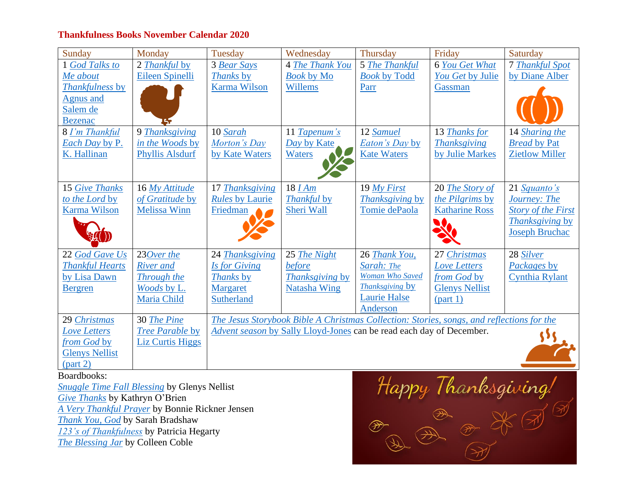## **Thankfulness Books November Calendar 2020**

| Sunday                 | Monday                  | Tuesday                                                                                   | Wednesday           | Thursday               | Friday                | Saturday                  |  |  |
|------------------------|-------------------------|-------------------------------------------------------------------------------------------|---------------------|------------------------|-----------------------|---------------------------|--|--|
| 1 God Talks to         | 2 Thankful by           | 3 Bear Says                                                                               | 4 The Thank You     | 5 The Thankful         | 6 You Get What        | <b>7 Thankful Spot</b>    |  |  |
| Me about               | Eileen Spinelli         | Thanks by                                                                                 | <b>Book by Mo</b>   | <b>Book by Todd</b>    | You Get by Julie      | by Diane Alber            |  |  |
| Thankfulness by        |                         | <b>Karma Wilson</b>                                                                       | Willems             | Parr                   | Gassman               |                           |  |  |
| <b>Agnus and</b>       |                         |                                                                                           |                     |                        |                       |                           |  |  |
| Salem de               |                         |                                                                                           |                     |                        |                       |                           |  |  |
| <b>Bezenac</b>         |                         |                                                                                           |                     |                        |                       |                           |  |  |
| 8 I'm Thankful         | 9 Thanksgiving          | 10 Sarah                                                                                  | 11 Tapenum's        | 12 Samuel              | 13 Thanks for         | 14 Sharing the            |  |  |
| Each Day by P.         | in the Woods by         | Morton's Day                                                                              | Day by Kate         | <b>Eaton's Day by</b>  | <b>Thanksgiving</b>   | <b>Bread by Pat</b>       |  |  |
| K. Hallinan            | <b>Phyllis Alsdurf</b>  | by Kate Waters                                                                            | Waters              | <b>Kate Waters</b>     | by Julie Markes       | <b>Zietlow Miller</b>     |  |  |
|                        |                         |                                                                                           |                     |                        |                       |                           |  |  |
|                        |                         |                                                                                           |                     |                        |                       |                           |  |  |
| 15 Give Thanks         | 16 My Attitude          | 17 Thanksgiving                                                                           | 18 <i>I Am</i>      | 19 My First            | 20 The Story of       | 21 Squanto's              |  |  |
| to the Lord by         | of Gratitude by         | <b>Rules by Laurie</b>                                                                    | <b>Thankful by</b>  | <b>Thanksgiving by</b> | the Pilgrims by       | Journey: The              |  |  |
| <b>Karma Wilson</b>    | <b>Melissa Winn</b>     | Friedman                                                                                  | Sheri Wall          | Tomie dePaola          | <b>Katharine Ross</b> | <b>Story of the First</b> |  |  |
|                        |                         |                                                                                           |                     |                        |                       | <i>Thanksgiving</i> by    |  |  |
|                        |                         |                                                                                           |                     |                        |                       | <b>Joseph Bruchac</b>     |  |  |
|                        |                         |                                                                                           |                     |                        |                       |                           |  |  |
| 22 God Gave Us         | 230ver the              | 24 Thanksgiving                                                                           | 25 The Night        | 26 Thank You,          | 27 Christmas          | 28 Silver                 |  |  |
| <b>Thankful Hearts</b> | <b>River</b> and        | Is for Giving                                                                             | before              | Sarah: The             | Love Letters          | Packages by               |  |  |
| by Lisa Dawn           | Through the             | Thanks by                                                                                 | Thanksgiving by     | <b>Woman Who Saved</b> | from God by           | Cynthia Rylant            |  |  |
| <b>Bergren</b>         | Woods by L.             | <b>Margaret</b>                                                                           | <b>Natasha Wing</b> | <b>Thanksgiving by</b> | <b>Glenys Nellist</b> |                           |  |  |
|                        | Maria Child             | Sutherland                                                                                |                     | <b>Laurie Halse</b>    | part 1)               |                           |  |  |
|                        |                         |                                                                                           |                     | Anderson               |                       |                           |  |  |
| 29 Christmas           | 30 The Pine             | The Jesus Storybook Bible A Christmas Collection: Stories, songs, and reflections for the |                     |                        |                       |                           |  |  |
| <b>Love Letters</b>    | Tree Parable by         | Advent season by Sally Lloyd-Jones can be read each day of December.                      |                     |                        |                       |                           |  |  |
| from God by            | <b>Liz Curtis Higgs</b> |                                                                                           |                     |                        |                       |                           |  |  |
| <b>Glenys Nellist</b>  |                         |                                                                                           |                     |                        |                       |                           |  |  |
| (part 2)               |                         |                                                                                           |                     |                        |                       |                           |  |  |

Boardbooks:

*[Snuggle Time Fall Blessing](https://www.amazon.com/Snuggle-Time-Blessings-Glenys-Nellist/dp/0310767512/ref=sr_1_18?crid=2WHO85I45KWU6&dchild=1&keywords=glenys+nellist+books&qid=1602387552&s=books&sprefix=glen%2Cstripbooks%2C254&sr=1-18)* by Glenys Nellist *[Give Thanks](https://www.amazon.com/Thanks-First-Bible-Memory-Books/dp/1496427815/ref=sr_1_20?dchild=1&keywords=give+thanks+board+book&qid=1602404133&s=books&sr=1-20)* by Kathryn O'Brien *[A Very Thankful Prayer](https://www.amazon.com/Thankful-Prayer-Bonnie-Rickner-Jensen/dp/0718098838/ref=pd_sbs_14_5/146-1910683-6526609?_encoding=UTF8&pd_rd_i=0718098838&pd_rd_r=36d53abf-6d26-4cf6-9958-8f1bf398695b&pd_rd_w=C4pTV&pd_rd_wg=a369Z&pf_rd_p=b65ee94e-1282-43fc-a8b1-8bf931f6dfab&pf_rd_r=Q46GQSXQ23F75V8Z8846&psc=1&refRID=Q46GQSXQ23F75V8Z8846)* by Bonnie Rickner Jensen *[Thank You, God](https://www.amazon.com/dp/1926444477/ref=sspa_dk_detail_3?psc=1&pd_rd_i=1926444477&pd_rd_w=3lB46&pf_rd_p=7d37a48b-2b1a-4373-8c1a-bdcc5da66be9&pd_rd_wg=hhOiv&pf_rd_r=GK254W5AMARGY3ASG0JM&pd_rd_r=8332fd30-0a66-4aec-9a4b-bbf59695556a&spLa=ZW5jcnlwdGVkUXVhbGlmaWVyPUEzOEE2Wk01NzdHSkExJmVuY3J5cHRlZElkPUExMDE4MzQwMlFEOURJUVkxMEpWSSZlbmNyeXB0ZWRBZElkPUEwMDc3MjgzR1U1SENDVUcxWENYJndpZGdldE5hbWU9c3BfZGV0YWlsJmFjdGlvbj1jbGlja1JlZGlyZWN0JmRvTm90TG9nQ2xpY2s9dHJ1ZQ==)* by Sarah Bradshaw *[123's of Thankfulness](https://www.amazon.com/123s-Thankfulness-Patricia-Hegarty/dp/059317450X/ref=sr_1_30?dchild=1&keywords=thankfulness+for+kids&qid=1602389351&s=books&sr=1-30)* by Patricia Hegarty *[The Blessing Jar](https://www.amazon.com/dp/1400322731/ref=sr_1_1?dchild=1&keywords=the+blessing+jar&qid=1602406423&s=books&sr=1-1)* by Colleen Coble